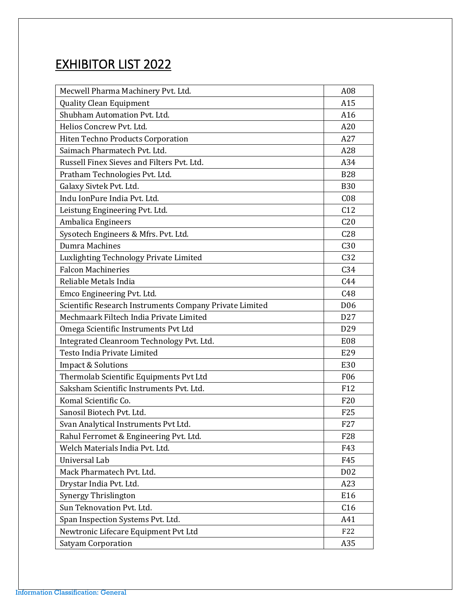## EXHIBITOR LIST 2022

| Mecwell Pharma Machinery Pvt. Ltd.                      | A08              |
|---------------------------------------------------------|------------------|
| <b>Quality Clean Equipment</b>                          | A15              |
| Shubham Automation Pvt. Ltd.                            | A16              |
| Helios Concrew Pvt. Ltd.                                | A20              |
| Hiten Techno Products Corporation                       | A27              |
| Saimach Pharmatech Pvt. Ltd.                            | A28              |
| Russell Finex Sieves and Filters Pvt. Ltd.              | A34              |
| Pratham Technologies Pvt. Ltd.                          | <b>B28</b>       |
| Galaxy Sivtek Pvt. Ltd.                                 | <b>B30</b>       |
| Indu IonPure India Pvt. Ltd.                            | C <sub>08</sub>  |
| Leistung Engineering Pvt. Ltd.                          | C12              |
| Ambalica Engineers                                      | C <sub>20</sub>  |
| Sysotech Engineers & Mfrs. Pvt. Ltd.                    | C28              |
| Dumra Machines                                          | C30              |
| Luxlighting Technology Private Limited                  | C <sub>32</sub>  |
| <b>Falcon Machineries</b>                               | C <sub>34</sub>  |
| Reliable Metals India                                   | C44              |
| Emco Engineering Pvt. Ltd.                              | C48              |
| Scientific Research Instruments Company Private Limited | D <sub>06</sub>  |
| Mechmaark Filtech India Private Limited                 | D <sub>27</sub>  |
| Omega Scientific Instruments Pvt Ltd                    | D <sub>29</sub>  |
| Integrated Cleanroom Technology Pvt. Ltd.               | E <sub>08</sub>  |
| Testo India Private Limited                             | E29              |
| <b>Impact &amp; Solutions</b>                           | E30              |
| Thermolab Scientific Equipments Pvt Ltd                 | <b>F06</b>       |
| Saksham Scientific Instruments Pvt. Ltd.                | F12              |
| Komal Scientific Co.                                    | F20              |
| Sanosil Biotech Pvt. Ltd.                               | F <sub>25</sub>  |
| Svan Analytical Instruments Pvt Ltd.                    | F <sub>27</sub>  |
| Rahul Ferromet & Engineering Pvt. Ltd.                  | F <sub>28</sub>  |
| Welch Materials India Pvt. Ltd.                         | F43              |
| Universal Lab                                           | F45              |
| Mack Pharmatech Pvt. Ltd.                               | D <sub>0</sub> 2 |
| Drystar India Pvt. Ltd.                                 | A23              |
| Synergy Thrislington                                    | E16              |
| Sun Teknovation Pvt. Ltd.                               | C16              |
| Span Inspection Systems Pvt. Ltd.                       | A41              |
| Newtronic Lifecare Equipment Pvt Ltd                    | F22              |
| <b>Satyam Corporation</b>                               | A35              |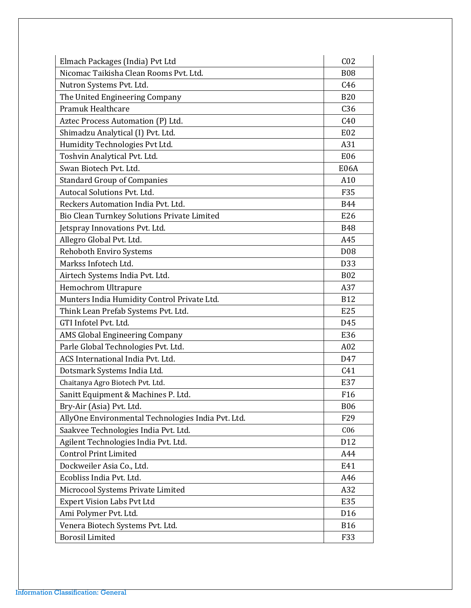| Elmach Packages (India) Pvt Ltd                    | C <sub>02</sub> |
|----------------------------------------------------|-----------------|
| Nicomac Taikisha Clean Rooms Pyt. Ltd.             | <b>B08</b>      |
| Nutron Systems Pvt. Ltd.                           | C46             |
| The United Engineering Company                     | <b>B20</b>      |
| Pramuk Healthcare                                  | C <sub>36</sub> |
| Aztec Process Automation (P) Ltd.                  | C40             |
| Shimadzu Analytical (I) Pvt. Ltd.                  | E <sub>02</sub> |
| Humidity Technologies Pvt Ltd.                     | A31             |
| Toshvin Analytical Pvt. Ltd.                       | E06             |
| Swan Biotech Pvt. Ltd.                             | E06A            |
| <b>Standard Group of Companies</b>                 | A10             |
| Autocal Solutions Pvt. Ltd.                        | F35             |
| Reckers Automation India Pvt. Ltd.                 | <b>B44</b>      |
| Bio Clean Turnkey Solutions Private Limited        | E26             |
| Jetspray Innovations Pvt. Ltd.                     | <b>B48</b>      |
| Allegro Global Pvt. Ltd.                           | A45             |
| <b>Rehoboth Enviro Systems</b>                     | D <sub>08</sub> |
| Markss Infotech Ltd.                               | D <sub>33</sub> |
| Airtech Systems India Pvt. Ltd.                    | <b>B02</b>      |
| Hemochrom Ultrapure                                | A37             |
| Munters India Humidity Control Private Ltd.        | <b>B12</b>      |
| Think Lean Prefab Systems Pvt. Ltd.                | E25             |
| GTI Infotel Pvt. Ltd.                              | D45             |
| AMS Global Engineering Company                     | E36             |
| Parle Global Technologies Pvt. Ltd.                | A02             |
| ACS International India Pvt. Ltd.                  | D47             |
| Dotsmark Systems India Ltd.                        | C41             |
| Chaitanya Agro Biotech Pvt. Ltd.                   | E37             |
| Sanitt Equipment & Machines P. Ltd.                | F <sub>16</sub> |
| Bry-Air (Asia) Pvt. Ltd.                           | <b>B06</b>      |
| AllyOne Environmental Technologies India Pvt. Ltd. | F29             |
| Saakvee Technologies India Pvt. Ltd.               | C <sub>06</sub> |
| Agilent Technologies India Pvt. Ltd.               | D <sub>12</sub> |
| <b>Control Print Limited</b>                       | A44             |
| Dockweiler Asia Co., Ltd.                          | E41             |
| Ecobliss India Pvt. Ltd.                           | A46             |
| Microcool Systems Private Limited                  | A32             |
| <b>Expert Vision Labs Pvt Ltd</b>                  | E35             |
| Ami Polymer Pvt. Ltd.                              | D <sub>16</sub> |
| Venera Biotech Systems Pvt. Ltd.                   | <b>B16</b>      |
| <b>Borosil Limited</b>                             | F33             |